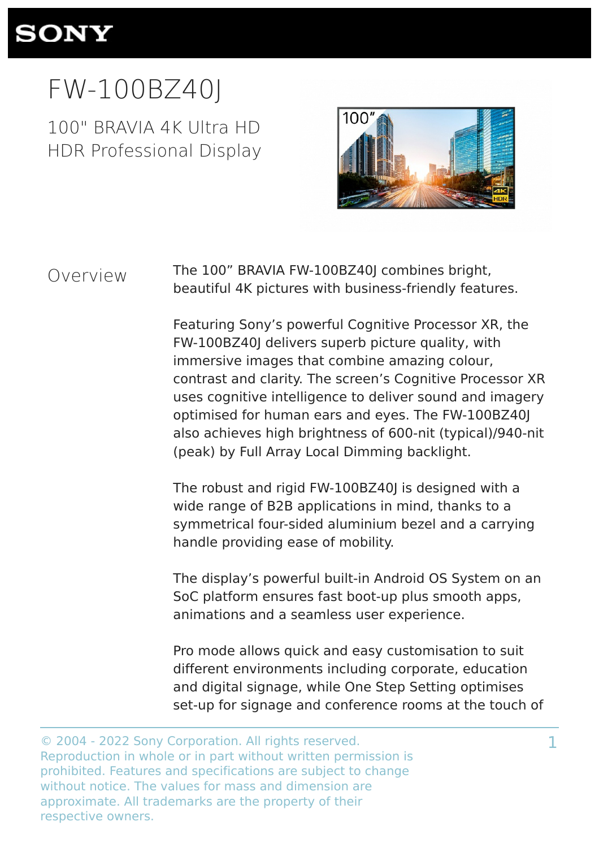

# FW-100BZ40J

100" BRAVIA 4K Ultra HD HDR Professional Display



### Overview

The 100" BRAVIA FW-100BZ40J combines bright, beautiful 4K pictures with business-friendly features.

Featuring Sony's powerful Cognitive Processor XR, the FW-100BZ40J delivers superb picture quality, with immersive images that combine amazing colour, contrast and clarity. The screen's Cognitive Processor XR uses cognitive intelligence to deliver sound and imagery optimised for human ears and eyes. The FW-100BZ40J also achieves high brightness of 600-nit (typical)/940-nit (peak) by Full Array Local Dimming backlight.

The robust and rigid FW-100BZ40J is designed with a wide range of B2B applications in mind, thanks to a symmetrical four-sided aluminium bezel and a carrying handle providing ease of mobility.

The display's powerful built-in Android OS System on an SoC platform ensures fast boot-up plus smooth apps, animations and a seamless user experience.

Pro mode allows quick and easy customisation to suit different environments including corporate, education and digital signage, while One Step Setting optimises set-up for signage and conference rooms at the touch of

<sup>©</sup> 2004 - 2022 Sony Corporation. All rights reserved. Reproduction in whole or in part without written permission is prohibited. Features and specifications are subject to change without notice. The values for mass and dimension are approximate. All trademarks are the property of their respective owners.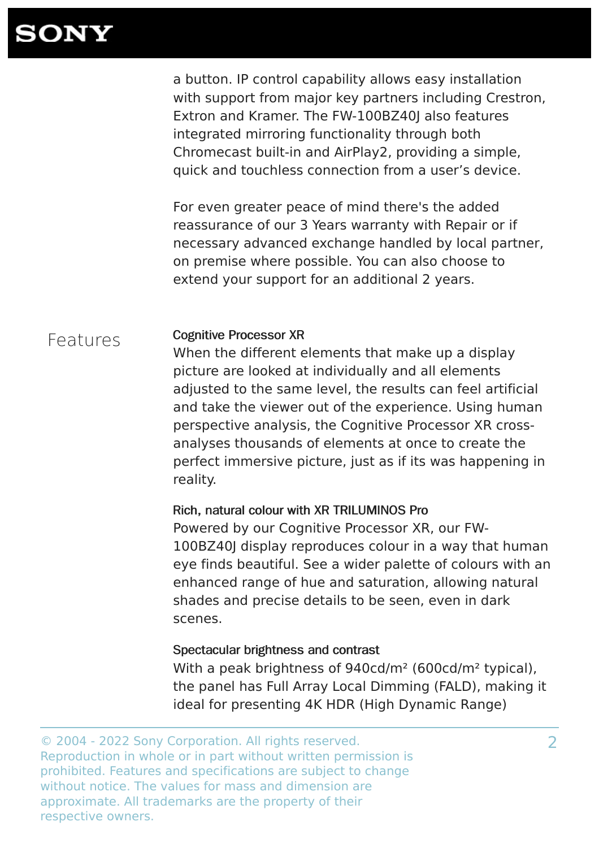a button. IP control capability allows easy installation with support from major key partners including Crestron, Extron and Kramer. The FW-100BZ40J also features integrated mirroring functionality through both Chromecast built-in and AirPlay2, providing a simple, quick and touchless connection from a user's device.

For even greater peace of mind there's the added reassurance of our 3 Years warranty with Repair or if necessary advanced exchange handled by local partner, on premise where possible. You can also choose to extend your support for an additional 2 years.

### Features

#### Cognitive Processor XR

When the different elements that make up a display picture are looked at individually and all elements adjusted to the same level, the results can feel artificial and take the viewer out of the experience. Using human perspective analysis, the Cognitive Processor XR crossanalyses thousands of elements at once to create the perfect immersive picture, just as if its was happening in reality.

#### Rich, natural colour with XR TRILUMINOS Pro

Powered by our Cognitive Processor XR, our FW-100BZ40J display reproduces colour in a way that human eye finds beautiful. See a wider palette of colours with an enhanced range of hue and saturation, allowing natural shades and precise details to be seen, even in dark scenes.

#### Spectacular brightness and contrast

With a peak brightness of 940cd/m² (600cd/m² typical), the panel has Full Array Local Dimming (FALD), making it ideal for presenting 4K HDR (High Dynamic Range)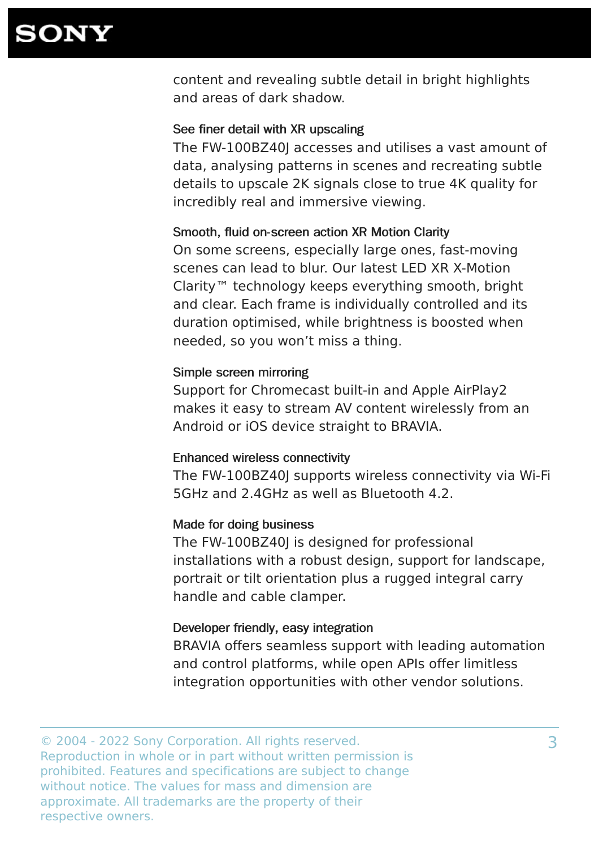content and revealing subtle detail in bright highlights and areas of dark shadow.

#### See finer detail with XR upscaling

The FW-100BZ40J accesses and utilises a vast amount of data, analysing patterns in scenes and recreating subtle details to upscale 2K signals close to true 4K quality for incredibly real and immersive viewing.

#### Smooth, fluid on-screen action XR Motion Clarity

On some screens, especially large ones, fast-moving scenes can lead to blur. Our latest LED XR X-Motion Clarity™ technology keeps everything smooth, bright and clear. Each frame is individually controlled and its duration optimised, while brightness is boosted when needed, so you won't miss a thing.

#### Simple screen mirroring

Support for Chromecast built-in and Apple AirPlay2 makes it easy to stream AV content wirelessly from an Android or iOS device straight to BRAVIA.

#### Enhanced wireless connectivity

The FW-100BZ40J supports wireless connectivity via Wi-Fi 5GHz and 2.4GHz as well as Bluetooth 4.2.

#### Made for doing business

The FW-100BZ40J is designed for professional installations with a robust design, support for landscape, portrait or tilt orientation plus a rugged integral carry handle and cable clamper.

#### Developer friendly, easy integration

BRAVIA offers seamless support with leading automation and control platforms, while open APIs offer limitless integration opportunities with other vendor solutions.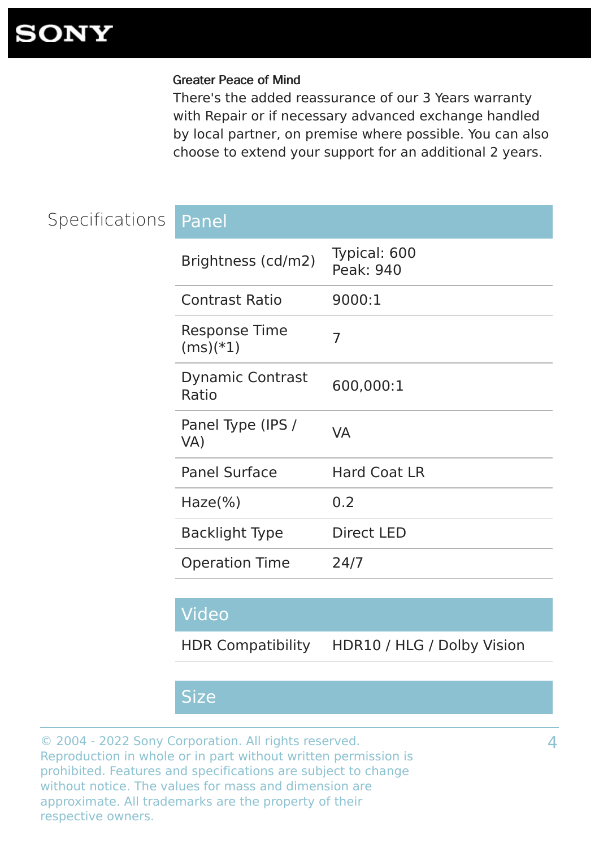#### Greater Peace of Mind

There's the added reassurance of our 3 Years warranty with Repair or if necessary advanced exchange handled by local partner, on premise where possible. You can also choose to extend your support for an additional 2 years.

## Specifications Panel

| Brightness (cd/m2)                 | Typical: 600<br>Peak: 940 |
|------------------------------------|---------------------------|
| <b>Contrast Ratio</b>              | 9000:1                    |
| <b>Response Time</b><br>$(ms)(*1)$ | 7                         |
| <b>Dynamic Contrast</b><br>Ratio   | 600,000:1                 |
| Panel Type (IPS /<br>VA)           | VA                        |
| <b>Panel Surface</b>               | <b>Hard Coat LR</b>       |
| Haze( <sub>%</sub> )               | 0.2                       |
| <b>Backlight Type</b>              | <b>Direct LED</b>         |
| <b>Operation Time</b>              | 24/7                      |
|                                    |                           |

### Video

HDR Compatibility HDR10 / HLG / Dolby Vision

### Size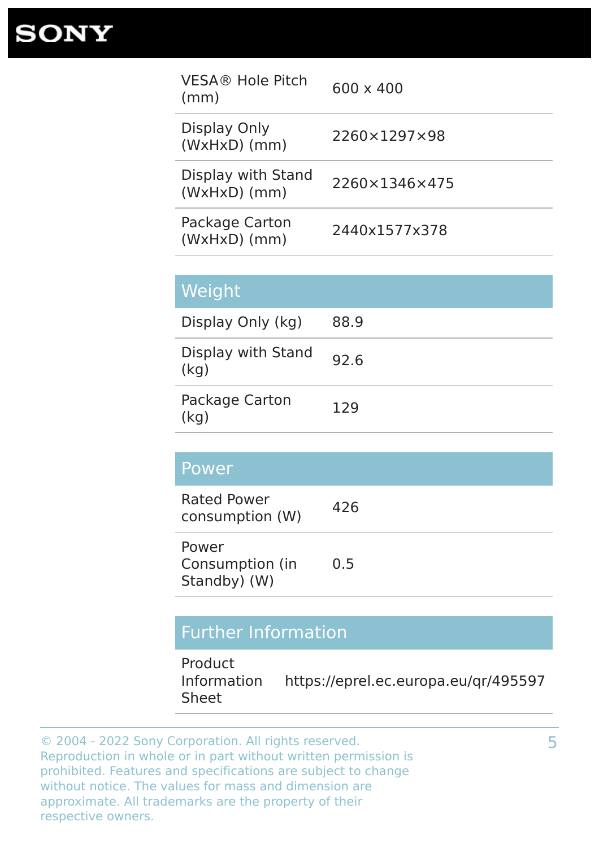| $600 \times 400$ |
|------------------|
| 2260×1297×98     |
| 2260×1346×475    |
| 2440x1577x378    |
|                  |

| Weight                     |      |
|----------------------------|------|
| Display Only (kg)          | 88.9 |
| Display with Stand<br>(kq) | 92.6 |
| Package Carton<br>(kq)     | 129  |

### Power

| <b>Rated Power</b> | 426 |
|--------------------|-----|
| consumption (W)    |     |

| Power           |     |
|-----------------|-----|
| Consumption (in | 0.5 |
| Standby) (W)    |     |

## Further Information

Product Information Sheet https://eprel.ec.europa.eu/qr/495597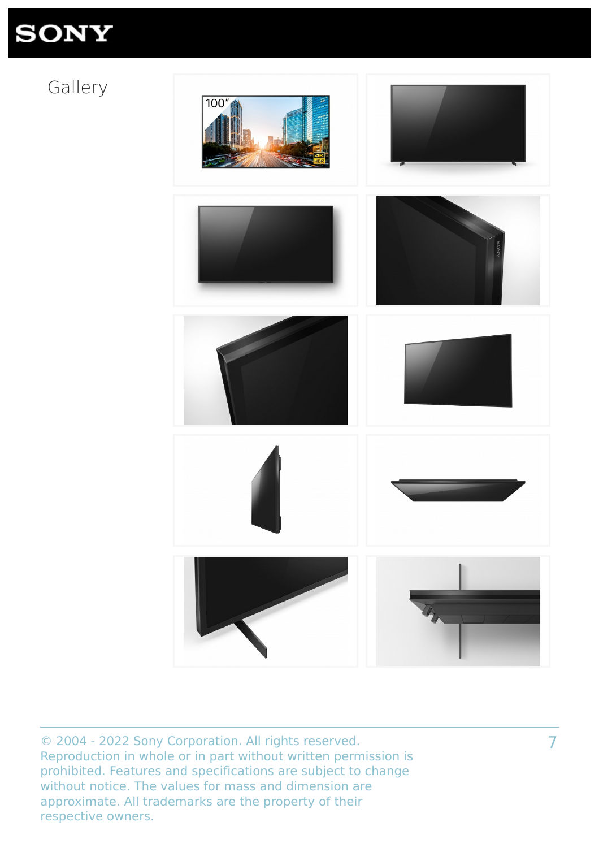## Gallery